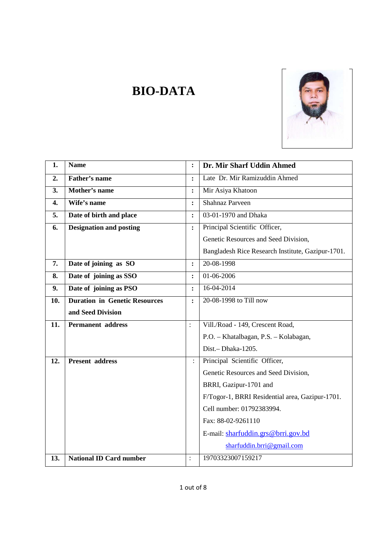

# **1. Name : Dr. Mir Sharf Uddin Ahmed** 2. **Father's name** : Late Dr. Mir Ramizuddin Ahmed **3. Mother's name :** Mir Asiya Khatoon **4.** Wife's name  $\cdot$  **:** Shahnaz Parveen **5. Date of birth and place** : **03-01-1970** and Dhaka **6. Designation and posting :** Principal Scientific Officer, Genetic Resources and Seed Division, Bangladesh Rice Research Institute, Gazipur-1701. **7.** Date of joining as SO : 20-08-1998 **8.** Date of joining as SSO : 01-06-2006 **9.** Date of joining as PSO : 16-04-2014 **10. Duration in Genetic Resources and Seed Division :** 20-08-1998 to Till now **11. Permanent address** : Vill./Road - 149, Crescent Road, P.O. – Khatalbagan, P.S. – Kolabagan, Dist.– Dhaka-1205. **12. Present address** : Principal Scientific Officer, Genetic Resources and Seed Division, BRRI, Gazipur-1701 and F/Togor-1, BRRI Residential area, Gazipur-1701. Cell number: 01792383994. Fax: 88-02-9261110 E-mail: sharfuddin.grs@brri.gov.bd sharfuddin.brri@gmail.com **13. National ID Card number** : 19703323007159217

**BIO-DATA**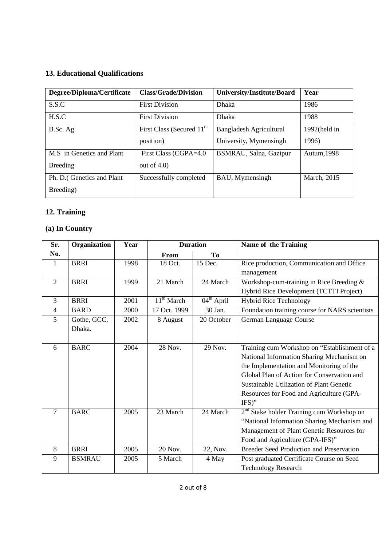## **13. Educational Qualifications**

| Degree/Diploma/Certificate | <b>Class/Grade/Division</b>           | University/Institute/Board | Year            |
|----------------------------|---------------------------------------|----------------------------|-----------------|
| S.S.C                      | <b>First Division</b>                 | Dhaka                      | 1986            |
| H.S.C                      | <b>First Division</b>                 | Dhaka                      | 1988            |
| B.Sc. Ag                   | First Class (Secured 11 <sup>th</sup> | Bangladesh Agricultural    | $1992$ (held in |
|                            | position)                             | University, Mymensingh     | 1996)           |
| M.S in Genetics and Plant  | First Class (CGPA=4.0                 | BSMRAU, Salna, Gazipur     | Autum, 1998     |
| <b>Breeding</b>            | out of $4.0$ )                        |                            |                 |
| Ph. D. (Genetics and Plant | Successfully completed                | BAU, Mymensingh            | March, 2015     |
| Breeding)                  |                                       |                            |                 |

# **12. Training**

# **(a) In Country**

| Sr.            | Organization  | Year | <b>Duration</b>        |                        | Name of the Training                                  |
|----------------|---------------|------|------------------------|------------------------|-------------------------------------------------------|
| No.            |               |      | From                   | To                     |                                                       |
| 1              | <b>BRRI</b>   | 1998 | 18 Oct.                | 15 Dec.                | Rice production, Communication and Office             |
|                |               |      |                        |                        | management                                            |
| 2              | <b>BRRI</b>   | 1999 | 21 March               | 24 March               | Workshop-cum-training in Rice Breeding &              |
|                |               |      |                        |                        | Hybrid Rice Development (TCTTI Project)               |
| 3              | <b>BRRI</b>   | 2001 | 11 <sup>th</sup> March | $04^{\text{th}}$ April | <b>Hybrid Rice Technology</b>                         |
| $\overline{4}$ | <b>BARD</b>   | 2000 | 17 Oct. 1999           | 30 Jan.                | Foundation training course for NARS scientists        |
| 5              | Gothe, GCC,   | 2002 | 8 August               | 20 October             | German Language Course                                |
|                | Dhaka.        |      |                        |                        |                                                       |
|                |               |      |                        |                        |                                                       |
| 6              | <b>BARC</b>   | 2004 | 28 Nov.                | 29 Nov.                | Training cum Workshop on "Establishment of a          |
|                |               |      |                        |                        | National Information Sharing Mechanism on             |
|                |               |      |                        |                        | the Implementation and Monitoring of the              |
|                |               |      |                        |                        | Global Plan of Action for Conservation and            |
|                |               |      |                        |                        | Sustainable Utilization of Plant Genetic              |
|                |               |      |                        |                        | Resources for Food and Agriculture (GPA-              |
|                |               |      |                        |                        | $IFS)$ "                                              |
| 7              | <b>BARC</b>   | 2005 | 23 March               | 24 March               | 2 <sup>nd</sup> Stake holder Training cum Workshop on |
|                |               |      |                        |                        | "National Information Sharing Mechanism and           |
|                |               |      |                        |                        | Management of Plant Genetic Resources for             |
|                |               |      |                        |                        | Food and Agriculture (GPA-IFS)"                       |
| 8              | <b>BRRI</b>   | 2005 | 20 Nov.                | 22, Nov.               | <b>Breeder Seed Production and Preservation</b>       |
| 9              | <b>BSMRAU</b> | 2005 | 5 March                | 4 May                  | Post graduated Certificate Course on Seed             |
|                |               |      |                        |                        | <b>Technology Research</b>                            |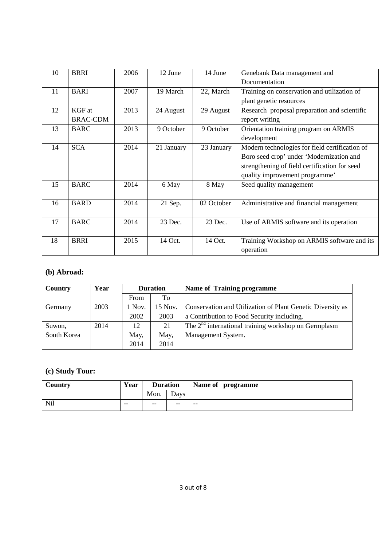| 10 | <b>BRRI</b>     | 2006 | 12 June    | 14 June    | Genebank Data management and                   |
|----|-----------------|------|------------|------------|------------------------------------------------|
|    |                 |      |            |            | Documentation                                  |
| 11 | <b>BARI</b>     | 2007 | 19 March   | 22, March  | Training on conservation and utilization of    |
|    |                 |      |            |            | plant genetic resources                        |
| 12 | KGF at          | 2013 | 24 August  | 29 August  | Research proposal preparation and scientific   |
|    | <b>BRAC-CDM</b> |      |            |            | report writing                                 |
| 13 | <b>BARC</b>     | 2013 | 9 October  | 9 October  | Orientation training program on ARMIS          |
|    |                 |      |            |            | development                                    |
| 14 | <b>SCA</b>      | 2014 | 21 January | 23 January | Modern technologies for field certification of |
|    |                 |      |            |            | Boro seed crop' under 'Modernization and       |
|    |                 |      |            |            | strengthening of field certification for seed  |
|    |                 |      |            |            | quality improvement programme'                 |
| 15 | <b>BARC</b>     | 2014 | 6 May      | 8 May      | Seed quality management                        |
|    |                 |      |            |            |                                                |
| 16 | <b>BARD</b>     | 2014 | 21 Sep.    | 02 October | Administrative and financial management        |
|    |                 |      |            |            |                                                |
| 17 | <b>BARC</b>     | 2014 | 23 Dec.    | 23 Dec.    | Use of ARMIS software and its operation        |
|    |                 |      |            |            |                                                |
| 18 | <b>BRRI</b>     | 2015 | 14 Oct.    | 14 Oct.    | Training Workshop on ARMIS software and its    |
|    |                 |      |            |            | operation                                      |

## **(b) Abroad:**

| Country     | Year | <b>Duration</b> |         | <b>Name of Training programme</b>                          |
|-------------|------|-----------------|---------|------------------------------------------------------------|
|             |      | From            | To      |                                                            |
| Germany     | 2003 | 1 Nov.          | 15 Nov. | Conservation and Utilization of Plant Genetic Diversity as |
|             |      | 2002            | 2003    | a Contribution to Food Security including.                 |
| Suwon,      | 2014 | 12              | 21      | The $2nd$ international training workshop on Germplasm     |
| South Korea |      | May,            | May,    | Management System.                                         |
|             |      | 2014            | 2014    |                                                            |

# **(c) Study Tour:**

| Country | Year  | <b>Duration</b> |       | Name of programme |
|---------|-------|-----------------|-------|-------------------|
|         |       | Mon.            | Days  |                   |
| Nil     | $- -$ | $- -$           | $- -$ | $- -$             |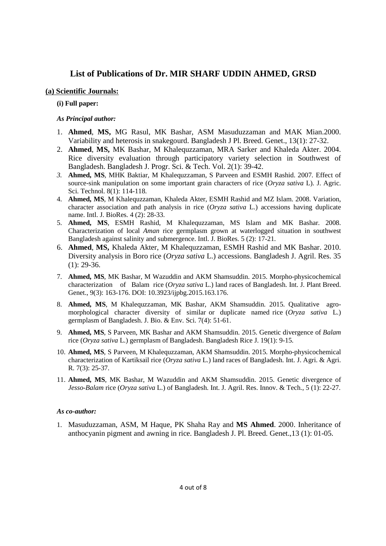## **List of Publications of Dr. MIR SHARF UDDIN AHMED, GRSD**

## **(a) Scientific Journals:**

## **(i) Full paper:**

## *As Principal author:*

- 1. **Ahmed**, **MS,** MG Rasul, MK Bashar, ASM Masuduzzaman and MAK Mian.2000. Variability and heterosis in snakegourd. Bangladesh J Pl. Breed. Genet., 13(1): 27-32.
- 2. **Ahmed**, **MS,** MK Bashar, M Khalequzzaman, MRA Sarker and Khaleda Akter. 2004. Rice diversity evaluation through participatory variety selection in Southwest of Bangladesh. Bangladesh J. Progr. Sci. & Tech. Vol. 2(1): 39-42.
- *3.* **Ahmed, MS**, MHK Baktiar, M Khalequzzaman, S Parveen and ESMH Rashid. 2007. Effect of source-sink manipulation on some important grain characters of rice (*Oryza sativa* L). J. Agric. Sci. Technol. 8(1): 114-118.
- 4. **Ahmed, MS**, M Khalequzzaman, Khaleda Akter, ESMH Rashid and MZ Islam. 2008. Variation, character association and path analysis in rice (*Oryza sativa* L.) accessions having duplicate name. Intl. J. BioRes. 4 (2): 28-33.
- 5. **Ahmed, MS**, ESMH Rashid, M Khalequzzaman, MS Islam and MK Bashar. 2008. Characterization of local *Aman* rice germplasm grown at waterlogged situation in southwest Bangladesh against salinity and submergence. Intl. J. BioRes. 5 (2): 17-21.
- 6. **Ahmed**, **MS,** Khaleda Akter, M Khalequzzaman, ESMH Rashid and MK Bashar. 2010. Diversity analysis in Boro rice (*Oryza sativa* L.) accessions. Bangladesh J. Agril. Res. 35  $(1)$ : 29-36.
- 7. **Ahmed, MS**, MK Bashar, M Wazuddin and AKM Shamsuddin. 2015. Morpho-physicochemical characterization of Balam rice (*Oryza sativa* L.) land races of Bangladesh. Int. J. Plant Breed. Genet., 9(3): 163-176. DOI: 10.3923/ijpbg.2015.163.176.
- 8. **Ahmed, MS**, M Khalequzzaman, MK Bashar, AKM Shamsuddin. 2015. Qualitative agromorphological character diversity of similar or duplicate named rice (*Oryza sativa* L.) germplasm of Bangladesh. J. Bio. & Env. Sci. 7(4): 51-61.
- 9. **Ahmed, MS**, S Parveen, MK Bashar and AKM Shamsuddin. 2015. Genetic divergence of *Balam* rice (*Oryza sativa* L.) germplasm of Bangladesh. Bangladesh Rice J. 19(1): 9-15.
- 10. **Ahmed, MS**, S Parveen, M Khalequzzaman, AKM Shamsuddin. 2015. Morpho-physicochemical characterization of Kartiksail rice (*Oryza sativa* L.) land races of Bangladesh. Int. J. Agri. & Agri. R. 7(3): 25-37.
- 11. **Ahmed, MS**, MK Bashar, M Wazuddin and AKM Shamsuddin. 2015. Genetic divergence of *Jesso-Balam* rice (*Oryza sativa* L.) of Bangladesh. Int. J. Agril. Res. Innov. & Tech., 5 (1): 22-27.

## *As co-author:*

1. Masuduzzaman, ASM, M Haque, PK Shaha Ray and **MS Ahmed**. 2000. Inheritance of anthocyanin pigment and awning in rice. Bangladesh J. Pl. Breed. Genet.,13 (1): 01-05.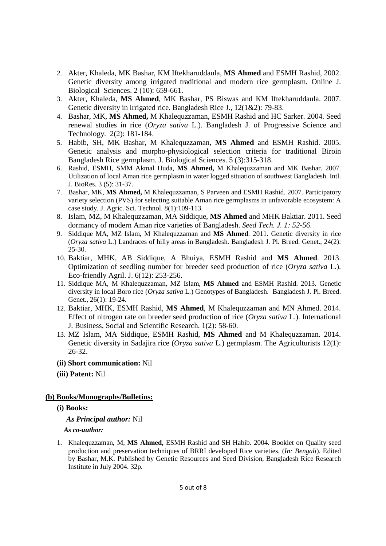- 2. Akter, Khaleda, MK Bashar, KM Iftekharuddaula, **MS Ahmed** and ESMH Rashid, 2002. Genetic diversity among irrigated traditional and modern rice germplasm. Online J. Biological Sciences. 2 (10): 659-661.
- 3. Akter, Khaleda, **MS Ahmed**, MK Bashar, PS Biswas and KM Iftekharuddaula. 2007. Genetic diversity in irrigated rice. Bangladesh Rice J., 12(1&2): 79-83.
- 4. Bashar, MK, **MS Ahmed,** M Khalequzzaman, ESMH Rashid and HC Sarker. 2004. Seed renewal studies in rice (*Oryza sativa* L.). Bangladesh J. of Progressive Science and Technology. 2(2): 181-184.
- 5. Habib, SH, MK Bashar, M Khalequzzaman, **MS Ahmed** and ESMH Rashid. 2005. Genetic analysis and morpho-physiological selection criteria for traditional Biroin Bangladesh Rice germplasm. J. Biological Sciences. 5 (3):315-318.
- 6. Rashid, ESMH, SMM Akmal Huda, **MS Ahmed,** M Khalequzzaman and MK Bashar. 2007. Utilization of local Aman rice germplasm in water logged situation of southwest Bangladesh. Intl. J. BioRes. 3 (5): 31-37.
- 7. Bashar, MK, **MS Ahmed,** M Khalequzzaman, S Parveen and ESMH Rashid. 2007. Participatory variety selection (PVS) for selecting suitable Aman rice germplasms in unfavorable ecosystem: A case study. J. Agric. Sci. Technol. 8(1):109-113.
- 8. Islam, MZ, M Khalequzzaman, MA Siddique, **MS Ahmed** and MHK Baktiar. 2011. Seed dormancy of modern Aman rice varieties of Bangladesh. *Seed Tech. J. 1: 52-56*.
- 9. Siddique MA, MZ Islam, M Khalequzzaman and **MS Ahmed**. 2011. Genetic diversity in rice (*Oryza sativa* L.) Landraces of hilly areas in Bangladesh. Bangladesh J. Pl. Breed. Genet., 24(2): 25-30.
- 10. Baktiar, MHK, AB Siddique, A Bhuiya, ESMH Rashid and **MS Ahmed**. 2013. Optimization of seedling number for breeder seed production of rice (*Oryza sativa* L.). Eco-friendly Agril. J. 6(12): 253-256.
- 11. Siddique MA, M Khalequzzaman, MZ Islam, **MS Ahmed** and ESMH Rashid. 2013. Genetic diversity in local Boro rice (*Oryza sativa* L.) Genotypes of Bangladesh. Bangladesh J. Pl. Breed. Genet., 26(1): 19-24.
- 12. Baktiar, MHK, ESMH Rashid, **MS Ahmed**, M Khalequzzaman and MN Ahmed. 2014. Effect of nitrogen rate on breeder seed production of rice (*Oryza sativa* L.). International J. Business, Social and Scientific Research. 1(2): 58-60.
- 13. MZ Islam, MA Siddique, ESMH Rashid, **MS Ahmed** and M Khalequzzaman. 2014. Genetic diversity in Sadajira rice (*Oryza sativa* L.) germplasm. The Agriculturists 12(1): 26-32.
- **(ii) Short communication:** Nil
- **(iii) Patent:** Nil

## **(b) Books/Monographs/Bulletins:**

## **(i) Books:**

 *As Principal author:* Nil

## *As co-author:*

1. Khalequzzaman, M, **MS Ahmed,** ESMH Rashid and SH Habib. 2004. Booklet on Quality seed production and preservation techniques of BRRI developed Rice varieties. (*In: Bengali*). Edited by Bashar, M.K. Published by Genetic Resources and Seed Division, Bangladesh Rice Research Institute in July 2004. 32p.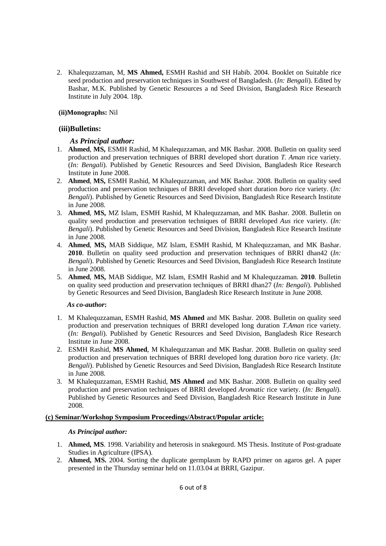2. Khalequzzaman, M, **MS Ahmed,** ESMH Rashid and SH Habib. 2004. Booklet on Suitable rice seed production and preservation techniques in Southwest of Bangladesh. (*In: Bengali*). Edited by Bashar, M.K. Published by Genetic Resources a nd Seed Division, Bangladesh Rice Research Institute in July 2004. 18p.

## **(ii)Monographs:** Nil

#### **(iii)Bulletins:**

## *As Principal author:*

- 1. **Ahmed**, **MS,** ESMH Rashid, M Khalequzzaman, and MK Bashar. 2008. Bulletin on quality seed production and preservation techniques of BRRI developed short duration *T. Aman* rice variety. (*In: Bengali*). Published by Genetic Resources and Seed Division, Bangladesh Rice Research Institute in June 2008.
- 2. **Ahmed**, **MS,** ESMH Rashid, M Khalequzzaman, and MK Bashar. 2008. Bulletin on quality seed production and preservation techniques of BRRI developed short duration *boro* rice variety. (*In: Bengali*). Published by Genetic Resources and Seed Division, Bangladesh Rice Research Institute in June 2008.
- 3. **Ahmed**, **MS,** MZ Islam, ESMH Rashid, M Khalequzzaman, and MK Bashar. 2008. Bulletin on quality seed production and preservation techniques of BRRI developed *Aus* rice variety. (*In: Bengali*). Published by Genetic Resources and Seed Division, Bangladesh Rice Research Institute in June 2008.
- 4. **Ahmed**, **MS,** MAB Siddique, MZ Islam, ESMH Rashid, M Khalequzzaman, and MK Bashar. 2010. Bulletin on quality seed production and preservation techniques of BRRI dhan42 (*In: Bengali*). Published by Genetic Resources and Seed Division, Bangladesh Rice Research Institute in June 2008.
- 5. **Ahmed**, **MS,** MAB Siddique, MZ Islam, ESMH Rashid and M Khalequzzaman. **2010**. Bulletin on quality seed production and preservation techniques of BRRI dhan27 (*In: Bengali*). Published by Genetic Resources and Seed Division, Bangladesh Rice Research Institute in June 2008.

#### *As co-author***:**

- 1. M Khalequzzaman, ESMH Rashid, **MS Ahmed** and MK Bashar. 2008. Bulletin on quality seed production and preservation techniques of BRRI developed long duration *T.Aman* rice variety. (*In: Bengali*). Published by Genetic Resources and Seed Division, Bangladesh Rice Research Institute in June 2008.
- 2. ESMH Rashid, **MS Ahmed**, M Khalequzzaman and MK Bashar. 2008. Bulletin on quality seed production and preservation techniques of BRRI developed long duration *boro* rice variety. (*In: Bengali*). Published by Genetic Resources and Seed Division, Bangladesh Rice Research Institute in June 2008.
- 3. M Khalequzzaman, ESMH Rashid, **MS Ahmed** and MK Bashar. 2008. Bulletin on quality seed production and preservation techniques of BRRI developed *Aromatic* rice variety. (*In: Bengali*). Published by Genetic Resources and Seed Division, Bangladesh Rice Research Institute in June 2008.

## **(c) Seminar/Workshop Symposium Proceedings/Abstract/Popular article:**

#### *As Principal author:*

- 1. **Ahmed, MS**. 1998. Variability and heterosis in snakegourd. MS Thesis. Institute of Post-graduate Studies in Agriculture (IPSA).
- 2. **Ahmed, MS.** 2004. Sorting the duplicate germplasm by RAPD primer on agaros gel. A paper presented in the Thursday seminar held on 11.03.04 at BRRI, Gazipur.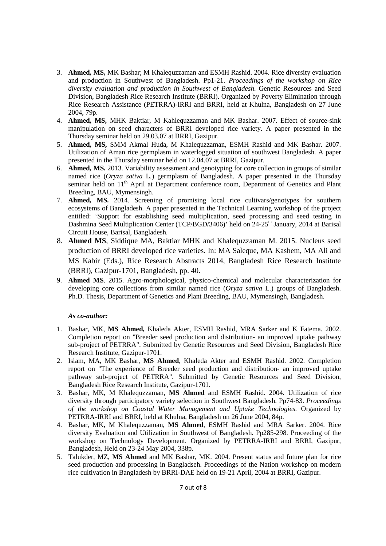- 3. **Ahmed, MS,** MK Bashar; M Khalequzzaman and ESMH Rashid. 2004. Rice diversity evaluation and production in Southwest of Bangladesh. Pp1-21. *Proceedings of the workshop on Rice diversity evaluation and production in Southwest of Bangladesh*. Genetic Resources and Seed Division, Bangladesh Rice Research Institute (BRRI). Organized by Poverty Elimination through Rice Research Assistance (PETRRA)-IRRI and BRRI, held at Khulna, Bangladesh on 27 June 2004, 79p.
- 4. **Ahmed, MS,** MHK Baktiar, M Kahlequzzaman and MK Bashar. 2007. Effect of source-sink manipulation on seed characters of BRRI developed rice variety. A paper presented in the Thursday seminar held on 29.03.07 at BRRI, Gazipur.
- 5. **Ahmed, MS,** SMM Akmal Huda, M Khalequzzaman, ESMH Rashid and MK Bashar. 2007. Utilization of Aman rice germplasm in waterlogged situation of southwest Bangladesh. A paper presented in the Thursday seminar held on 12.04.07 at BRRI, Gazipur.
- 6. **Ahmed, MS.** 2013. Variability assessment and genotyping for core collection in groups of similar named rice (*Oryza sativa* L.) germplasm of Bangladesh. A paper presented in the Thursday seminar held on 11<sup>th</sup> April at Department conference room, Department of Genetics and Plant Breeding, BAU, Mymensingh.
- 7. **Ahmed, MS.** 2014. Screening of promising local rice cultivars/genotypes for southern ecosystems of Bangladesh. A paper presented in the Technical Learning workshop of the project entitled: 'Support for establishing seed multiplication, seed processing and seed testing in Dashmina Seed Multiplication Center (TCP/BGD/3406)' held on 24-25<sup>th</sup> January, 2014 at Barisal Circuit House, Barisal, Bangladesh.
- 8. **Ahmed MS**, Siddique MA, Baktiar MHK and Khalequzzaman M. 2015. Nucleus seed production of BRRI developed rice varieties. In: MA Saleque, MA Kashem, MA Ali and MS Kabir (Eds.), Rice Research Abstracts 2014, Bangladesh Rice Research Institute (BRRI), Gazipur-1701, Bangladesh, pp. 40.
- 9. **Ahmed MS**. 2015. Agro-morphological, physico-chemical and molecular characterization for developing core collections from similar named rice (*Oryza sativa* L.) groups of Bangladesh. Ph.D. Thesis, Department of Genetics and Plant Breeding, BAU, Mymensingh, Bangladesh.

## *As co-author:*

- 1. Bashar, MK, **MS Ahmed,** Khaleda Akter, ESMH Rashid, MRA Sarker and K Fatema. 2002. Completion report on "Breeder seed production and distribution- an improved uptake pathway sub-project of PETRRA". Submitted by Genetic Resources and Seed Division, Bangladesh Rice Research Institute, Gazipur-1701.
- 2. Islam, MA, MK Bashar, **MS Ahmed**, Khaleda Akter and ESMH Rashid. 2002. Completion report on "The experience of Breeder seed production and distribution- an improved uptake pathway sub-project of PETRRA". Submitted by Genetic Resources and Seed Division, Bangladesh Rice Research Institute, Gazipur-1701.
- 3. Bashar, MK, M Khalequzzaman, **MS Ahmed** and ESMH Rashid. 2004. Utilization of rice diversity through participatory variety selection in Southwest Bangladesh. Pp74-83. *Proceedings of the workshop on Coastal Water Management and Uptake Technologies*. Organized by PETRRA-IRRI and BRRI, held at Khulna, Bangladesh on 26 June 2004, 84p.
- 4. Bashar, MK, M Khalequzzaman, **MS Ahmed**, ESMH Rashid and MRA Sarker. 2004. Rice diversity Evaluation and Utilization in Southwest of Bangladesh. Pp285-298. Proceeding of the workshop on Technology Development. Organized by PETRRA-IRRI and BRRI, Gazipur, Bangladesh, Held on 23-24 May 2004, 338p.
- 5. Talukder, MZ, **MS Ahmed** and MK Bashar, MK. 2004. Present status and future plan for rice seed production and processing in Bangladseh. Proceedings of the Nation workshop on modern rice cultivation in Bangladesh by BRRI-DAE held on 19-21 April, 2004 at BRRI, Gazipur.